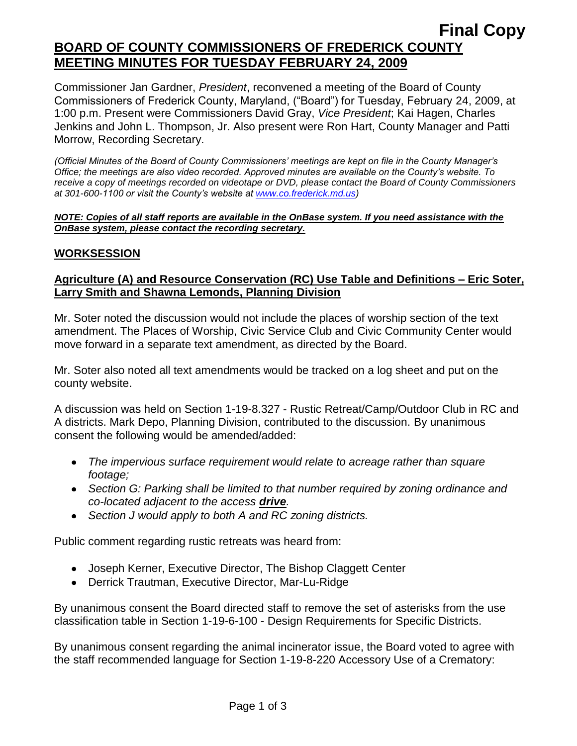# **Final Copy BOARD OF COUNTY COMMISSIONERS OF FREDERICK COUNTY MEETING MINUTES FOR TUESDAY FEBRUARY 24, 2009**

Commissioner Jan Gardner, *President*, reconvened a meeting of the Board of County Commissioners of Frederick County, Maryland, ("Board") for Tuesday, February 24, 2009, at 1:00 p.m. Present were Commissioners David Gray, *Vice President*; Kai Hagen, Charles Jenkins and John L. Thompson, Jr. Also present were Ron Hart, County Manager and Patti Morrow, Recording Secretary.

*(Official Minutes of the Board of County Commissioners' meetings are kept on file in the County Manager's Office; the meetings are also video recorded. Approved minutes are available on the County's website. To receive a copy of meetings recorded on videotape or DVD, please contact the Board of County Commissioners at 301-600-1100 or visit the County's website at [www.co.frederick.md.us\)](http://www.co.frederick.md.us/)*

#### *NOTE: Copies of all staff reports are available in the OnBase system. If you need assistance with the OnBase system, please contact the recording secretary.*

### **WORKSESSION**

### **Agriculture (A) and Resource Conservation (RC) Use Table and Definitions – Eric Soter, Larry Smith and Shawna Lemonds, Planning Division**

Mr. Soter noted the discussion would not include the places of worship section of the text amendment. The Places of Worship, Civic Service Club and Civic Community Center would move forward in a separate text amendment, as directed by the Board.

Mr. Soter also noted all text amendments would be tracked on a log sheet and put on the county website.

A discussion was held on Section 1-19-8.327 - Rustic Retreat/Camp/Outdoor Club in RC and A districts. Mark Depo, Planning Division, contributed to the discussion. By unanimous consent the following would be amended/added:

- *The impervious surface requirement would relate to acreage rather than square footage;*
- *Section G: Parking shall be limited to that number required by zoning ordinance and co-located adjacent to the access drive.*
- *Section J would apply to both A and RC zoning districts.*

Public comment regarding rustic retreats was heard from:

- Joseph Kerner, Executive Director, The Bishop Claggett Center
- Derrick Trautman, Executive Director, Mar-Lu-Ridge

By unanimous consent the Board directed staff to remove the set of asterisks from the use classification table in Section 1-19-6-100 - Design Requirements for Specific Districts.

By unanimous consent regarding the animal incinerator issue, the Board voted to agree with the staff recommended language for Section 1-19-8-220 Accessory Use of a Crematory: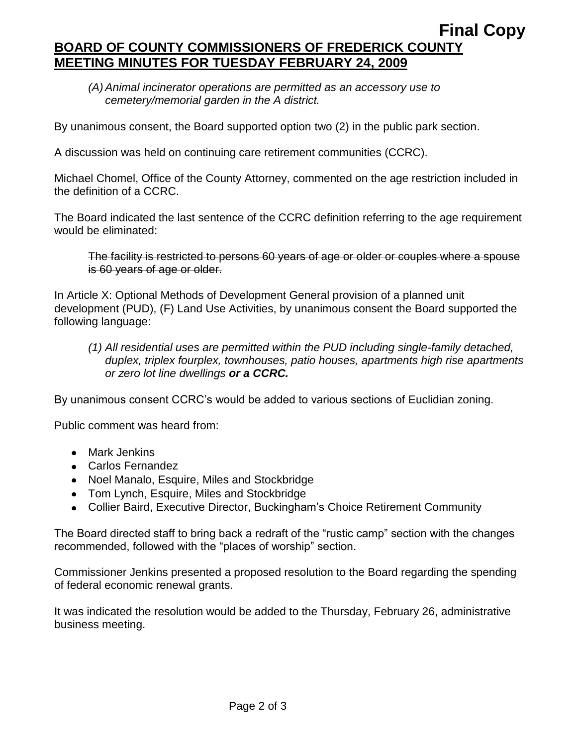# **Final Copy BOARD OF COUNTY COMMISSIONERS OF FREDERICK COUNTY MEETING MINUTES FOR TUESDAY FEBRUARY 24, 2009**

*(A)Animal incinerator operations are permitted as an accessory use to cemetery/memorial garden in the A district.*

By unanimous consent, the Board supported option two (2) in the public park section.

A discussion was held on continuing care retirement communities (CCRC).

Michael Chomel, Office of the County Attorney, commented on the age restriction included in the definition of a CCRC.

The Board indicated the last sentence of the CCRC definition referring to the age requirement would be eliminated:

The facility is restricted to persons 60 years of age or older or couples where a spouse is 60 years of age or older.

In Article X: Optional Methods of Development General provision of a planned unit development (PUD), (F) Land Use Activities, by unanimous consent the Board supported the following language:

*(1) All residential uses are permitted within the PUD including single-family detached, duplex, triplex fourplex, townhouses, patio houses, apartments high rise apartments or zero lot line dwellings or a CCRC.*

By unanimous consent CCRC's would be added to various sections of Euclidian zoning.

Public comment was heard from:

- Mark Jenkins
- Carlos Fernandez
- Noel Manalo, Esquire, Miles and Stockbridge
- Tom Lynch, Esquire, Miles and Stockbridge
- Collier Baird, Executive Director, Buckingham's Choice Retirement Community

The Board directed staff to bring back a redraft of the "rustic camp" section with the changes recommended, followed with the "places of worship" section.

Commissioner Jenkins presented a proposed resolution to the Board regarding the spending of federal economic renewal grants.

It was indicated the resolution would be added to the Thursday, February 26, administrative business meeting.